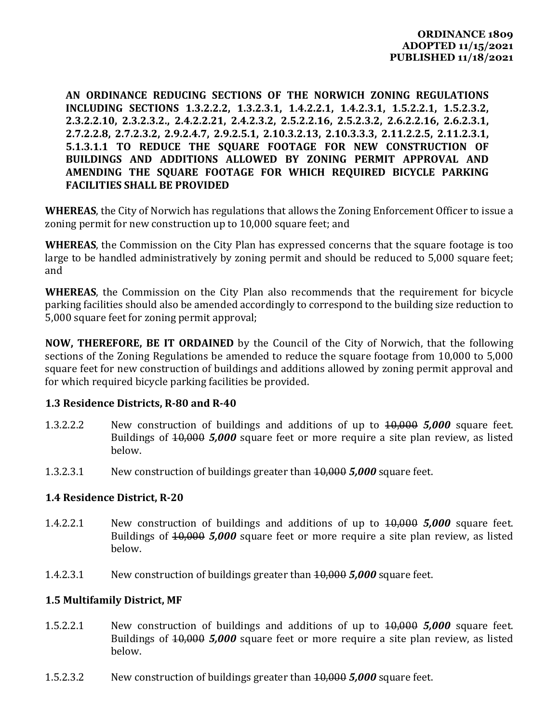**AN ORDINANCE REDUCING SECTIONS OF THE NORWICH ZONING REGULATIONS INCLUDING SECTIONS 1.3.2.2.2, 1.3.2.3.1, 1.4.2.2.1, 1.4.2.3.1, 1.5.2.2.1, 1.5.2.3.2, 2.3.2.2.10, 2.3.2.3.2., 2.4.2.2.21, 2.4.2.3.2, 2.5.2.2.16, 2.5.2.3.2, 2.6.2.2.16, 2.6.2.3.1, 2.7.2.2.8, 2.7.2.3.2, 2.9.2.4.7, 2.9.2.5.1, 2.10.3.2.13, 2.10.3.3.3, 2.11.2.2.5, 2.11.2.3.1, 5.1.3.1.1 TO REDUCE THE SQUARE FOOTAGE FOR NEW CONSTRUCTION OF BUILDINGS AND ADDITIONS ALLOWED BY ZONING PERMIT APPROVAL AND AMENDING THE SQUARE FOOTAGE FOR WHICH REQUIRED BICYCLE PARKING FACILITIES SHALL BE PROVIDED**

**WHEREAS**, the City of Norwich has regulations that allows the Zoning Enforcement Officer to issue a zoning permit for new construction up to 10,000 square feet; and

**WHEREAS**, the Commission on the City Plan has expressed concerns that the square footage is too large to be handled administratively by zoning permit and should be reduced to 5,000 square feet; and

**WHEREAS**, the Commission on the City Plan also recommends that the requirement for bicycle parking facilities should also be amended accordingly to correspond to the building size reduction to 5,000 square feet for zoning permit approval;

**NOW, THEREFORE, BE IT ORDAINED** by the Council of the City of Norwich, that the following sections of the Zoning Regulations be amended to reduce the square footage from 10,000 to 5,000 square feet for new construction of buildings and additions allowed by zoning permit approval and for which required bicycle parking facilities be provided.

#### **1.3 Residence Districts, R‐80 and R‐40**

- 1.3.2.2.2 New construction of buildings and additions of up to 10,000 *5,000* square feet. Buildings of 10,000 *5,000* square feet or more require a site plan review, as listed below.
- 1.3.2.3.1 New construction of buildings greater than 10,000 *5,000* square feet.

#### **1.4 Residence District, R‐20**

- 1.4.2.2.1 New construction of buildings and additions of up to 10,000 *5,000* square feet. Buildings of 10,000 *5,000* square feet or more require a site plan review, as listed below.
- 1.4.2.3.1 New construction of buildings greater than 10,000 *5,000* square feet.

#### **1.5 Multifamily District, MF**

- 1.5.2.2.1 New construction of buildings and additions of up to 10,000 *5,000* square feet. Buildings of 10,000 *5,000* square feet or more require a site plan review, as listed below.
- 1.5.2.3.2 New construction of buildings greater than 10,000 *5,000* square feet.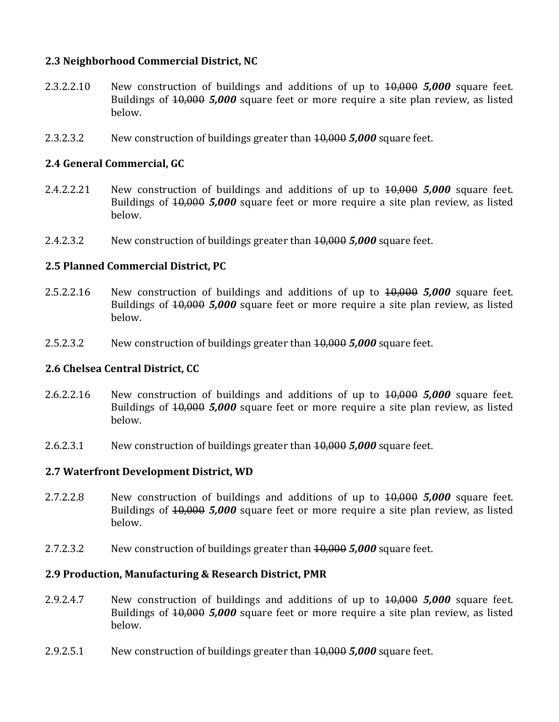### **2.3 Neighborhood Commercial District, NC**

- 2.3.2.2.10 New construction of buildings and additions of up to 10,000 *5,000* square feet. Buildings of 10,000 *5,000* square feet or more require a site plan review, as listed below.
- 2.3.2.3.2 New construction of buildings greater than 10,000 *5,000* square feet.

# **2.4 General Commercial, GC**

- 2.4.2.2.21 New construction of buildings and additions of up to 10,000 *5,000* square feet. Buildings of 10,000 *5,000* square feet or more require a site plan review, as listed below.
- 2.4.2.3.2 New construction of buildings greater than 10,000 *5,000* square feet.

### **2.5 Planned Commercial District, PC**

- 2.5.2.2.16 New construction of buildings and additions of up to 10,000 *5,000* square feet. Buildings of 10,000 *5,000* square feet or more require a site plan review, as listed below.
- 2.5.2.3.2 New construction of buildings greater than 10,000 *5,000* square feet.

### **2.6 Chelsea Central District, CC**

- 2.6.2.2.16 New construction of buildings and additions of up to 10,000 *5,000* square feet. Buildings of 10,000 *5,000* square feet or more require a site plan review, as listed below.
- 2.6.2.3.1 New construction of buildings greater than 10,000 *5,000* square feet.

### **2.7 Waterfront Development District, WD**

- 2.7.2.2.8 New construction of buildings and additions of up to 10,000 *5,000* square feet. Buildings of 10,000 *5,000* square feet or more require a site plan review, as listed below.
- 2.7.2.3.2 New construction of buildings greater than 10,000 *5,000* square feet.

#### **2.9 Production, Manufacturing & Research District, PMR**

- 2.9.2.4.7 New construction of buildings and additions of up to 10,000 *5,000* square feet. Buildings of 10,000 *5,000* square feet or more require a site plan review, as listed below.
- 2.9.2.5.1 New construction of buildings greater than 10,000 *5,000* square feet.